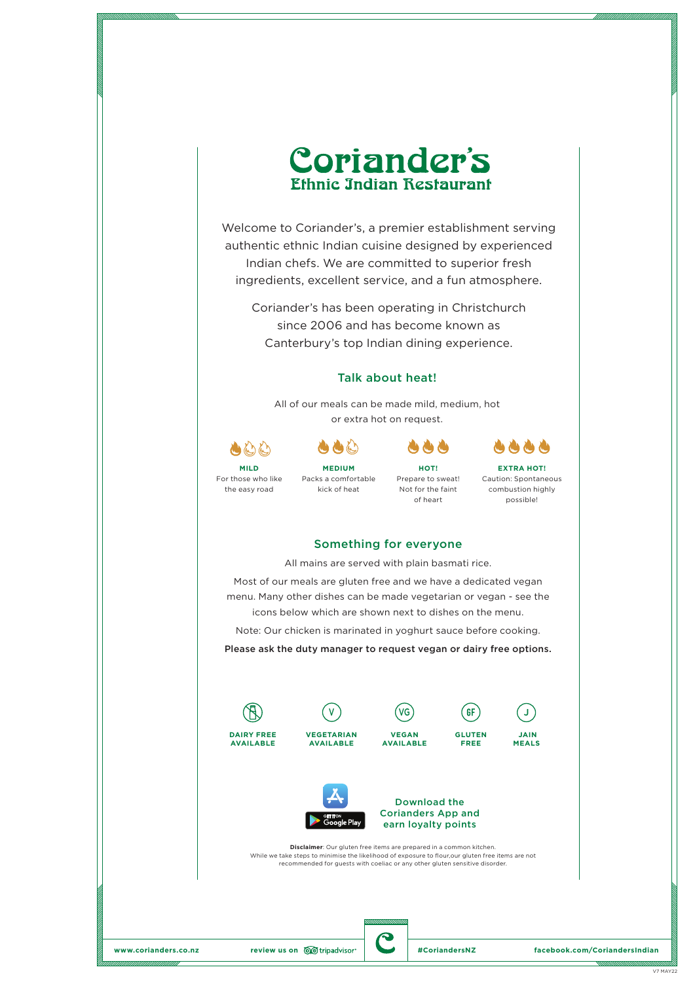

Welcome to Coriander's, a premier establishment serving authentic ethnic Indian cuisine designed by experienced Indian chefs. We are committed to superior fresh ingredients, excellent service, and a fun atmosphere.

Coriander's has been operating in Christchurch since 2006 and has become known as Canterbury's top Indian dining experience.

# Talk about heat!

All of our meals can be made mild, medium, hot or extra hot on request.





kick of heat

For those who like the easy road

**MEDIUM** Packs a comfortable Prepare to sweat!

**HOT!**

Not for the faint of heart



**EXTRA HOT!** Caution: Spontaneous combustion highly possible!

#### Something for everyone

All mains are served with plain basmati rice.

Most of our meals are gluten free and we have a dedicated vegan menu. Many other dishes can be made vegetarian or vegan - see the icons below which are shown next to dishes on the menu.

Note: Our chicken is marinated in yoghurt sauce before cooking.

Please ask the duty manager to request vegan or dairy free options.









**VEGAN** 

**GLUTEN FREE**



**MEALS**





**Disclaimer**: Our gluten free items are prepared in a common kitchen. While we take steps to minimise the likelihood of exposure to flour,our gluten free items are not recommended for guests with coeliac or any other gluten sensitive disorder.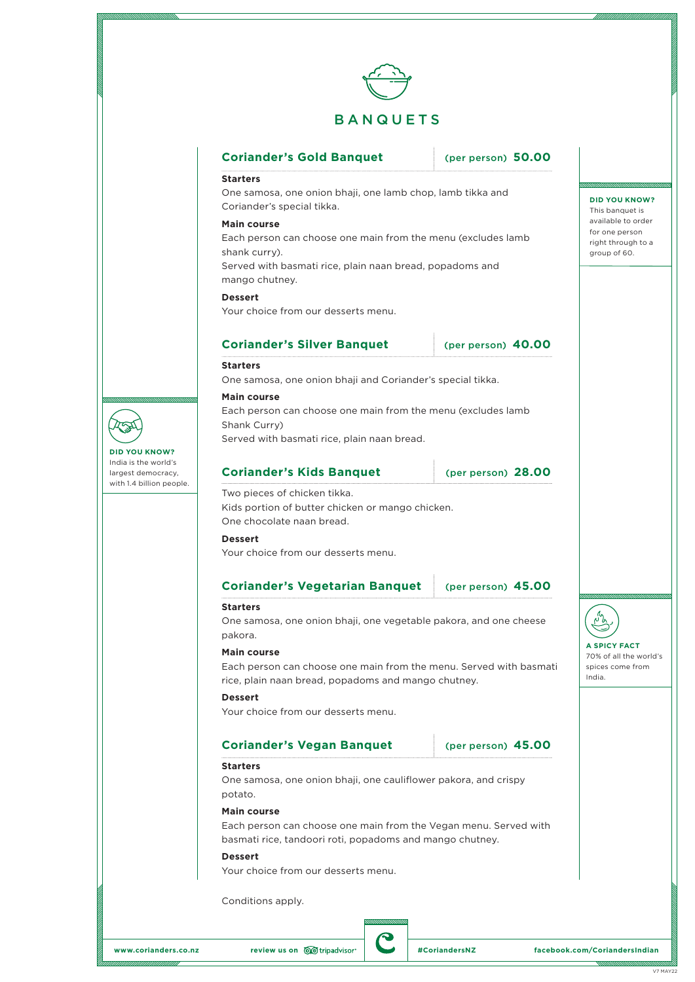

# **Coriander's Gold Banquet** (per person) **50.00 Starters** One samosa, one onion bhaji, one lamb chop, lamb tikka and Coriander's special tikka.

## **Main course**  Each person can choose one main from the menu (excludes lamb shank curry).

Served with basmati rice, plain naan bread, popadoms and mango chutney.

**Dessert**

Your choice from our desserts menu.

# **Coriander's Silver Banquet** (per person) **40.00**

**DID YOU KNOW?** This banquet is available to order for one person right through to a group of 60.

#### **Starters** One samosa, one onion bhaji and Coriander's special tikka. **Main course**

Each person can choose one main from the menu (excludes lamb Shank Curry)

Served with basmati rice, plain naan bread.

# **Coriander's Kids Banquet** (per person) 28.00

Two pieces of chicken tikka. Kids portion of butter chicken or mango chicken. One chocolate naan bread.

#### **Dessert**

Your choice from our desserts menu.

# **Coriander's Vegetarian Banquet** (per person) **45.00**

#### **Starters**

One samosa, one onion bhaji, one vegetable pakora, and one cheese pakora.

#### **Main course**

Each person can choose one main from the menu. Served with basmati rice, plain naan bread, popadoms and mango chutney.

#### **Dessert**

Your choice from our desserts menu.

# **Coriander's Vegan Banquet** (per person) 45.00

#### **Starters**

One samosa, one onion bhaji, one cauliflower pakora, and crispy potato.

#### **Main course**

Each person can choose one main from the Vegan menu. Served with basmati rice, tandoori roti, popadoms and mango chutney.

### **Dessert**

Your choice from our desserts menu.

Conditions apply.

**DID YOU KNOW?** India is the world's largest democracy, with 1.4 billion people.

**A SPICY FACT** 70% of all the world's spices come from

India.

ᡁᡃᡃᢅ᠔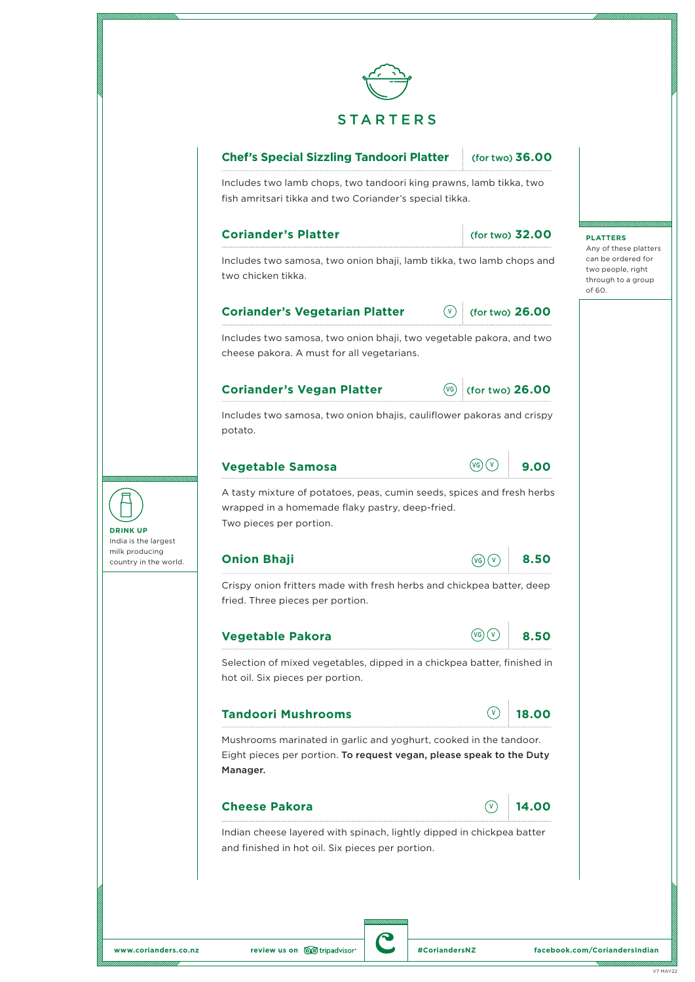

# **Chef's Special Sizzling Tandoori Platter** (for two) **36.00**

Includes two lamb chops, two tandoori king prawns, lamb tikka, two fish amritsari tikka and two Coriander's special tikka.

#### **Coriander's Platter** (for two) **32.00**

**PLATTERS** Any of these platters can be ordered for two people, right through to a group

of 60.

Includes two samosa, two onion bhaji, lamb tikka, two lamb chops and two chicken tikka.

# **Coriander's Vegetarian Platter**  $\qquad \qquad \boxed{v}$  (for two) 26.00

Includes two samosa, two onion bhaji, two vegetable pakora, and two cheese pakora. A must for all vegetarians.

# **Coriander's Vegan Platter** (VG) (for two) 26.00

VG

 $\odot$ 

Includes two samosa, two onion bhajis, cauliflower pakoras and crispy potato.



A tasty mixture of potatoes, peas, cumin seeds, spices and fresh herbs wrapped in a homemade flaky pastry, deep-fried. Two pieces per portion.

#### **Onion Bhaji 8.50**

Crispy onion fritters made with fresh herbs and chickpea batter, deep fried. Three pieces per portion.

#### **Vegetable Pakora** (VG) 8.50

Selection of mixed vegetables, dipped in a chickpea batter, finished in hot oil. Six pieces per portion.

# **Tandoori Mushrooms 18.00**

Mushrooms marinated in garlic and yoghurt, cooked in the tandoor. Eight pieces per portion. To request vegan, please speak to the Duty Manager.

# **Cheese Pakora 14.00**

# V

V

 $\circ$ 

 $(vG)$   $(v)$ 

Indian cheese layered with spinach, lightly dipped in chickpea batter and finished in hot oil. Six pieces per portion.

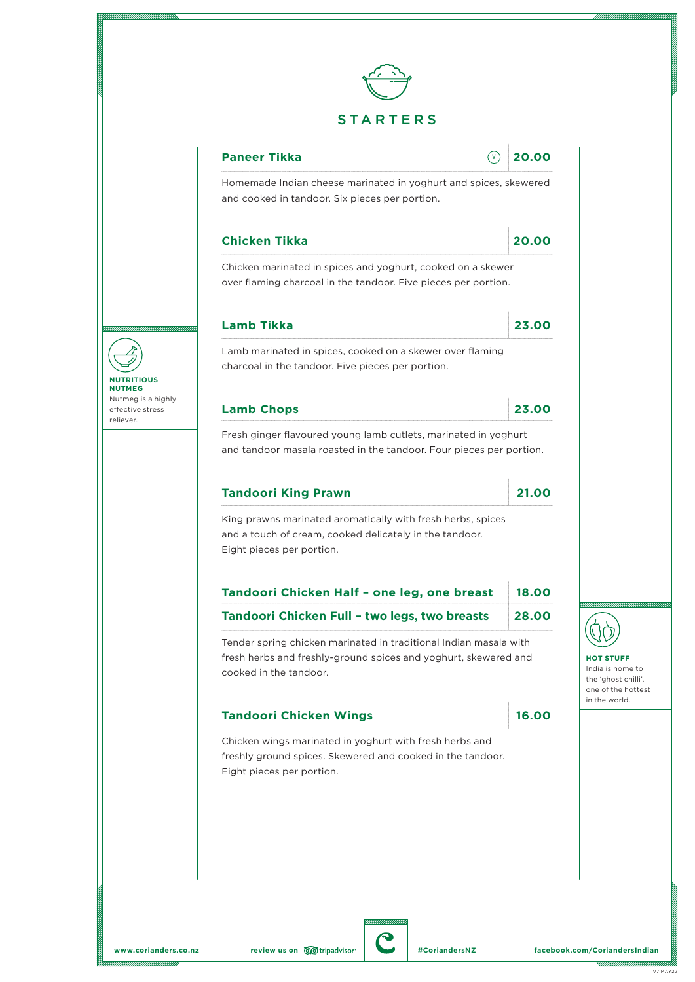

**Paneer Tikka 20.00** V

Homemade Indian cheese marinated in yoghurt and spices, skewered and cooked in tandoor. Six pieces per portion.

# **Chicken Tikka 20.00**

Chicken marinated in spices and yoghurt, cooked on a skewer over flaming charcoal in the tandoor. Five pieces per portion.

# **Lamb Tikka 23.00**

Lamb marinated in spices, cooked on a skewer over flaming charcoal in the tandoor. Five pieces per portion.

# **Lamb Chops 23.00**

**NUTRITIOUS NUTMEG** Nutmeg is a highly effective stress reliever.

Fresh ginger flavoured young lamb cutlets, marinated in yoghurt and tandoor masala roasted in the tandoor. Four pieces per portion.

#### **Tandoori King Prawn 21.00**

King prawns marinated aromatically with fresh herbs, spices and a touch of cream, cooked delicately in the tandoor. Eight pieces per portion.

| Tandoori Chicken Half - one leg, one breast   | 18,00 |
|-----------------------------------------------|-------|
| Tandoori Chicken Full - two legs, two breasts | 28,00 |

Tender spring chicken marinated in traditional Indian masala with fresh herbs and freshly-ground spices and yoghurt, skewered and cooked in the tandoor.

# **Tandoori Chicken Wings 16.00**

Chicken wings marinated in yoghurt with fresh herbs and freshly ground spices. Skewered and cooked in the tandoor. Eight pieces per portion.



**HOT STUFF** India is home to the 'ghost chilli', one of the hottest in the world.

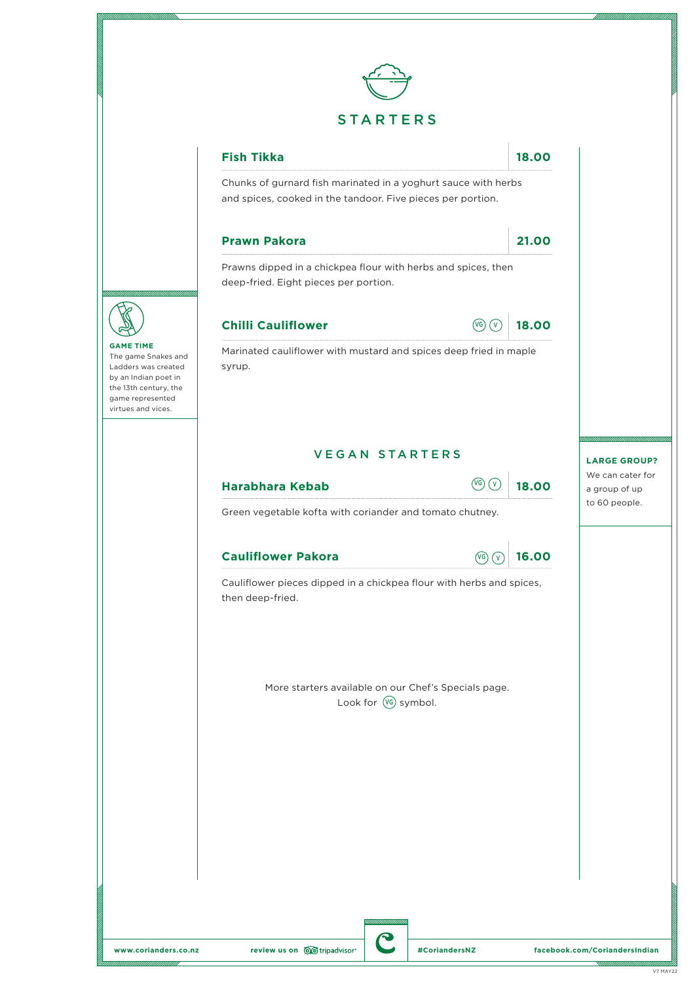





The game Snakes and Ladders was created by an Indian poet in the 13th century, the game represented virtues and vices.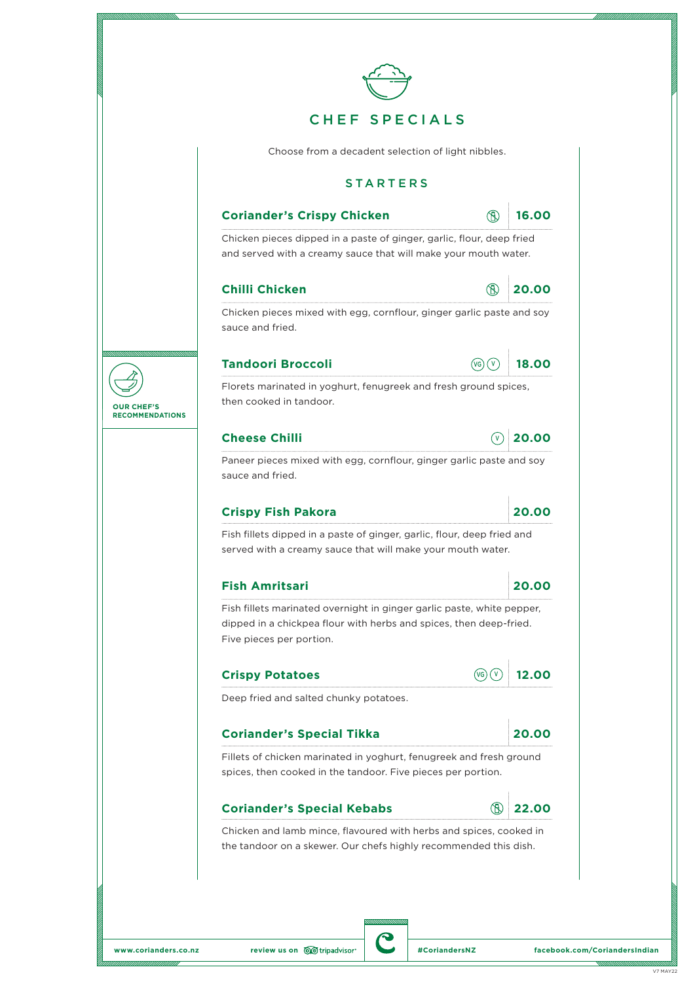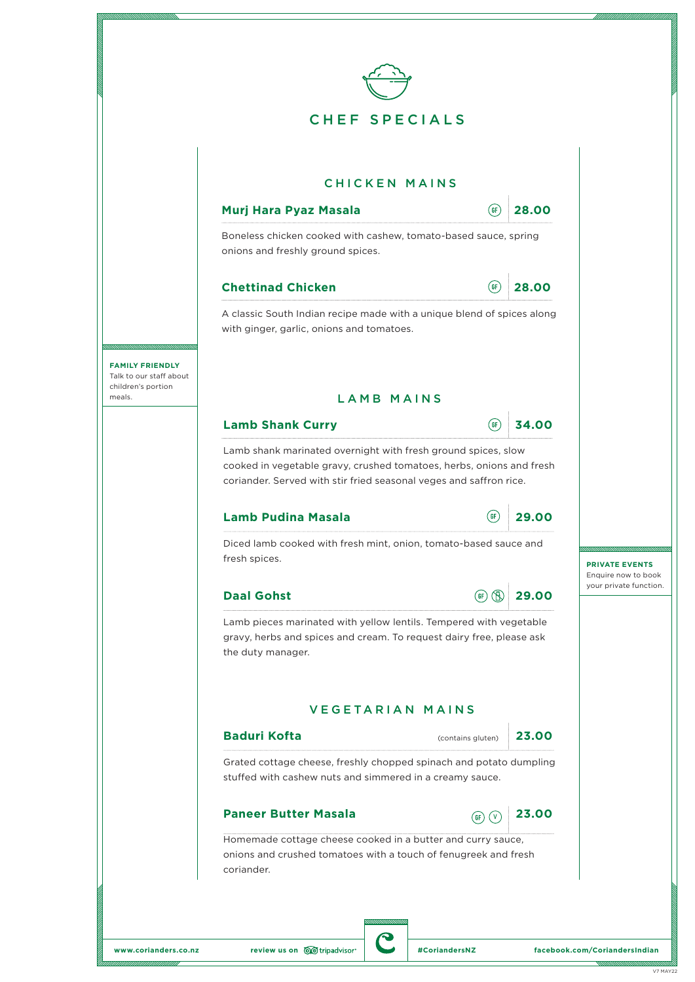

**www.corianders.co.nz review us on**  $\overline{\text{QQ}}$  tripadvisor **and the set of the set of the set of the set of the set of the set of the set of the set of the set of the set of the set of the set of the set of the set of t**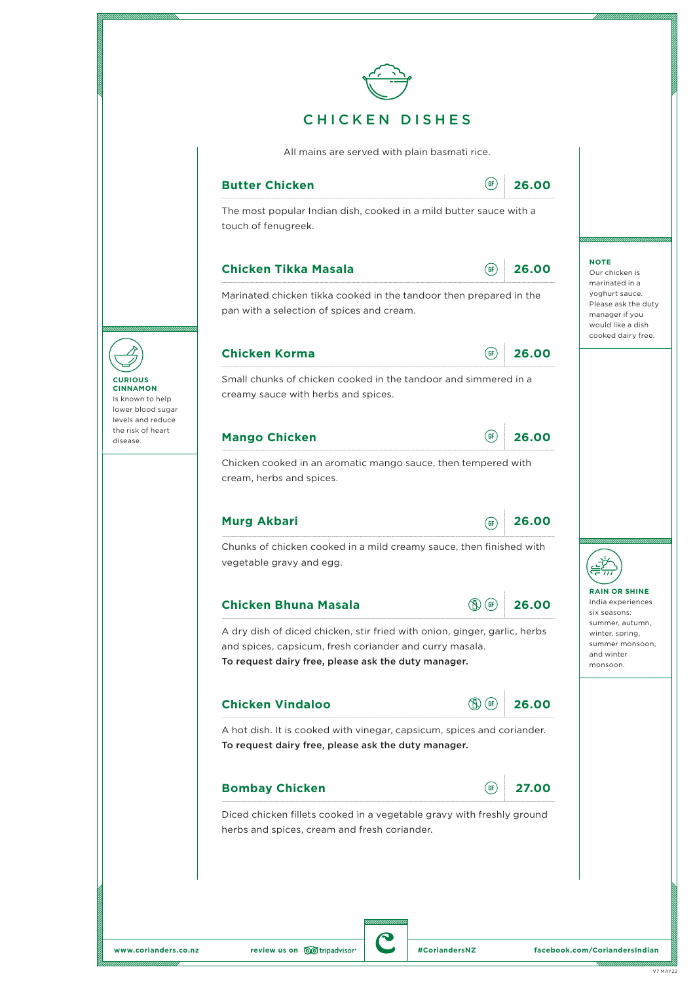|                                                                                                    |       |                                                                        | All mains are served with plain basmati rice.                                                                                                                                               |
|----------------------------------------------------------------------------------------------------|-------|------------------------------------------------------------------------|---------------------------------------------------------------------------------------------------------------------------------------------------------------------------------------------|
|                                                                                                    | 26.00 | (GF)                                                                   | <b>Butter Chicken</b>                                                                                                                                                                       |
|                                                                                                    |       |                                                                        | The most popular Indian dish, cooked in a mild butter sauce with a<br>touch of fenugreek.                                                                                                   |
| <b>NOTE</b><br>Our chicken is<br>marinated in a                                                    | 26.00 | $($ GF $)$                                                             | <b>Chicken Tikka Masala</b>                                                                                                                                                                 |
| yoghurt sauce.<br>Please ask the duty<br>manager if you<br>would like a dish<br>cooked dairy free. |       |                                                                        | Marinated chicken tikka cooked in the tandoor then prepared in the<br>pan with a selection of spices and cream.                                                                             |
|                                                                                                    | 26.00 | $($ GF $)$                                                             | <b>Chicken Korma</b>                                                                                                                                                                        |
|                                                                                                    |       |                                                                        | Small chunks of chicken cooked in the tandoor and simmered in a<br>creamy sauce with herbs and spices.                                                                                      |
|                                                                                                    | 26.00 | (GF)                                                                   | <b>Mango Chicken</b>                                                                                                                                                                        |
|                                                                                                    |       |                                                                        | Chicken cooked in an aromatic mango sauce, then tempered with<br>cream, herbs and spices.                                                                                                   |
|                                                                                                    | 26.00 | (GF)                                                                   | <b>Murg Akbari</b>                                                                                                                                                                          |
|                                                                                                    |       |                                                                        | Chunks of chicken cooked in a mild creamy sauce, then finished with<br>vegetable gravy and egg.                                                                                             |
| <b>RAIN OR SHINE</b><br>India experiences<br>six seasons:                                          | 26.00 | GF                                                                     | <b>Chicken Bhuna Masala</b>                                                                                                                                                                 |
| summer, autumn,                                                                                    |       |                                                                        | A dry dish of diced chicken, stir fried with onion, ginger, garlic, herbs<br>and spices, capsicum, fresh coriander and curry masala.<br>To request dairy free, please ask the duty manager. |
| winter, spring,<br>summer monsoon,<br>and winter<br>monsoon.                                       |       | (GF                                                                    | <b>Chicken Vindaloo</b>                                                                                                                                                                     |
|                                                                                                    | 26.00 |                                                                        |                                                                                                                                                                                             |
|                                                                                                    |       | A hot dish. It is cooked with vinegar, capsicum, spices and coriander. | To request dairy free, please ask the duty manager.                                                                                                                                         |
|                                                                                                    | 27.00 | GF                                                                     | <b>Bombay Chicken</b>                                                                                                                                                                       |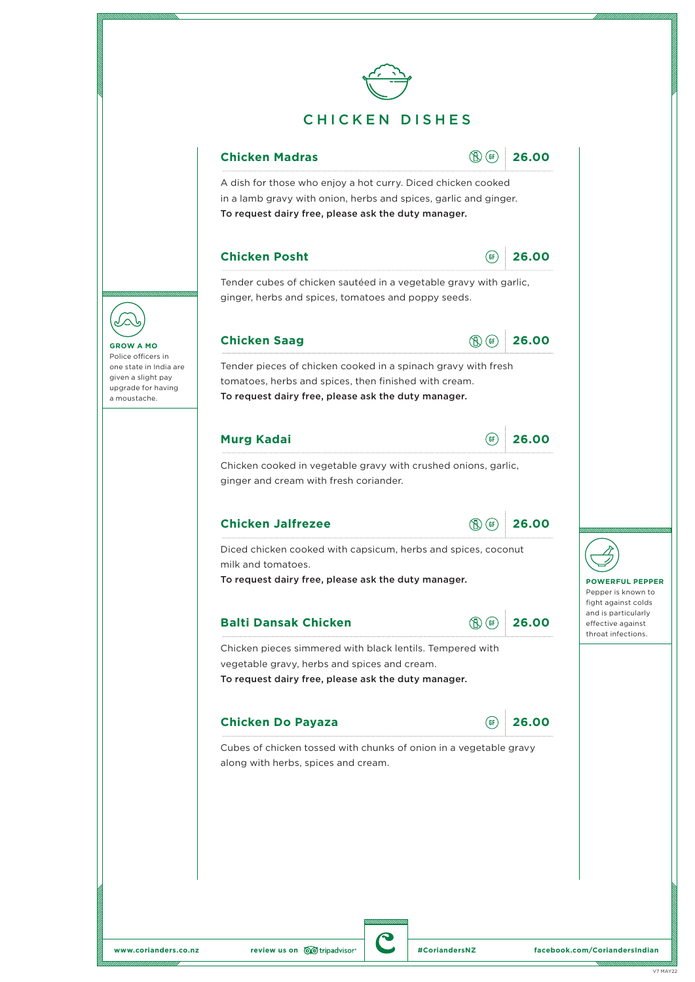



A dish for those who enjoy a hot curry. Diced chicken cooked in a lamb gravy with onion, herbs and spices, garlic and ginger. To request dairy free, please ask the duty manager.

### **Chicken Posht 26.00**



Tender cubes of chicken sautéed in a vegetable gravy with garlic, ginger, herbs and spices, tomatoes and poppy seeds.



Tender pieces of chicken cooked in a spinach gravy with fresh tomatoes, herbs and spices, then finished with cream. To request dairy free, please ask the duty manager.

# **Murg Kadai 26.00**



Chicken cooked in vegetable gravy with crushed onions, garlic, ginger and cream with fresh coriander.

## **Chicken Jalfrezee 26.00**



Diced chicken cooked with capsicum, herbs and spices, coconut milk and tomatoes.

To request dairy free, please ask the duty manager.

## **Balti Dansak Chicken 1996 126.00**



Chicken pieces simmered with black lentils. Tempered with vegetable gravy, herbs and spices and cream. To request dairy free, please ask the duty manager.

#### **Chicken Do Payaza 26.00**



Cubes of chicken tossed with chunks of onion in a vegetable gravy along with herbs, spices and cream.



**GROW A MO** Police officers in one state in India are given a slight pay upgrade for having a moustache.



**POWERFUL PEPPER** Pepper is known to fight against colds and is particularly effective against throat infections.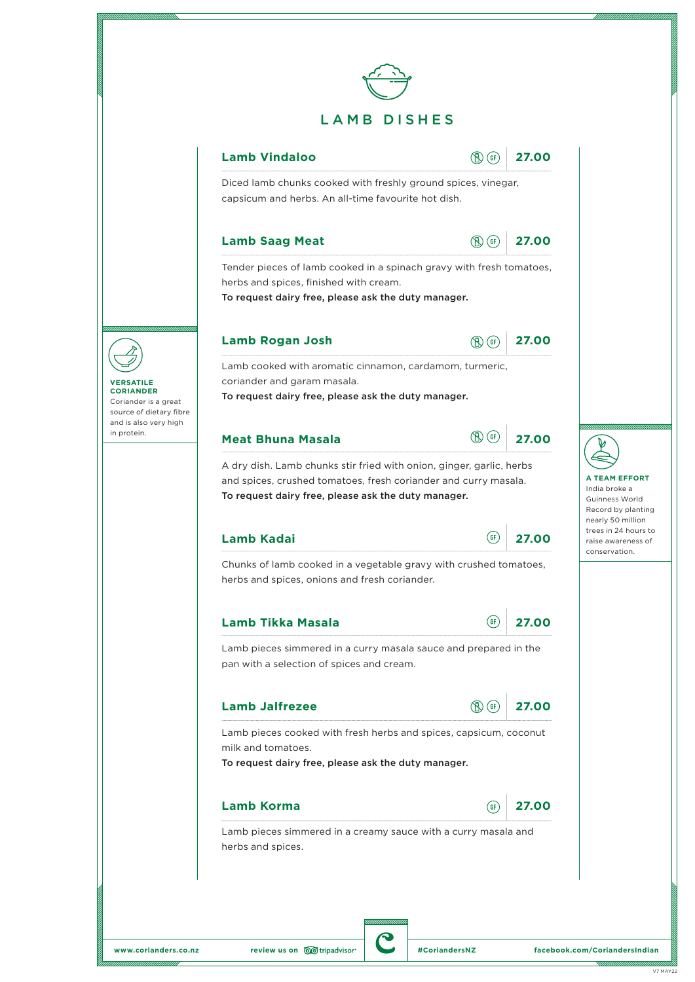

# **Lamb Vindaloo 19.100 19.100 19.100 19.100**

Diced lamb chunks cooked with freshly ground spices, vinegar, capsicum and herbs. An all-time favourite hot dish.

#### **Lamb Saag Meat 19.100 19.100 19.100 19.100**



Tender pieces of lamb cooked in a spinach gravy with fresh tomatoes, herbs and spices, finished with cream.

To request dairy free, please ask the duty manager.

## **Lamb Rogan Josh 27.00**



Lamb cooked with aromatic cinnamon, cardamom, turmeric, coriander and garam masala.

To request dairy free, please ask the duty manager.

# **Meat Bhuna Masala 27.00**



A dry dish. Lamb chunks stir fried with onion, ginger, garlic, herbs and spices, crushed tomatoes, fresh coriander and curry masala. To request dairy free, please ask the duty manager.

# **Lamb Kadai 27.00**

| ì۴. | 27.00 |
|-----|-------|
|     |       |

**A TEAM EFFORT** India broke a Guinness World Record by planting nearly 50 million trees in 24 hours to raise awareness of conservation.

Chunks of lamb cooked in a vegetable gravy with crushed tomatoes, herbs and spices, onions and fresh coriander.

## **Lamb Tikka Masala 27.00**



Lamb pieces simmered in a curry masala sauce and prepared in the pan with a selection of spices and cream.

| <b>Lamb Jalfrezee</b> |  | <b>B</b> GF 27.00 |
|-----------------------|--|-------------------|
|-----------------------|--|-------------------|

Lamb pieces cooked with fresh herbs and spices, capsicum, coconut milk and tomatoes.

To request dairy free, please ask the duty manager.

# **Lamb Korma 27.00**



Lamb pieces simmered in a creamy sauce with a curry masala and herbs and spices.



#### **VERSATILE CORIANDER**

Coriander is a great source of dietary fibre and is also very high in protein.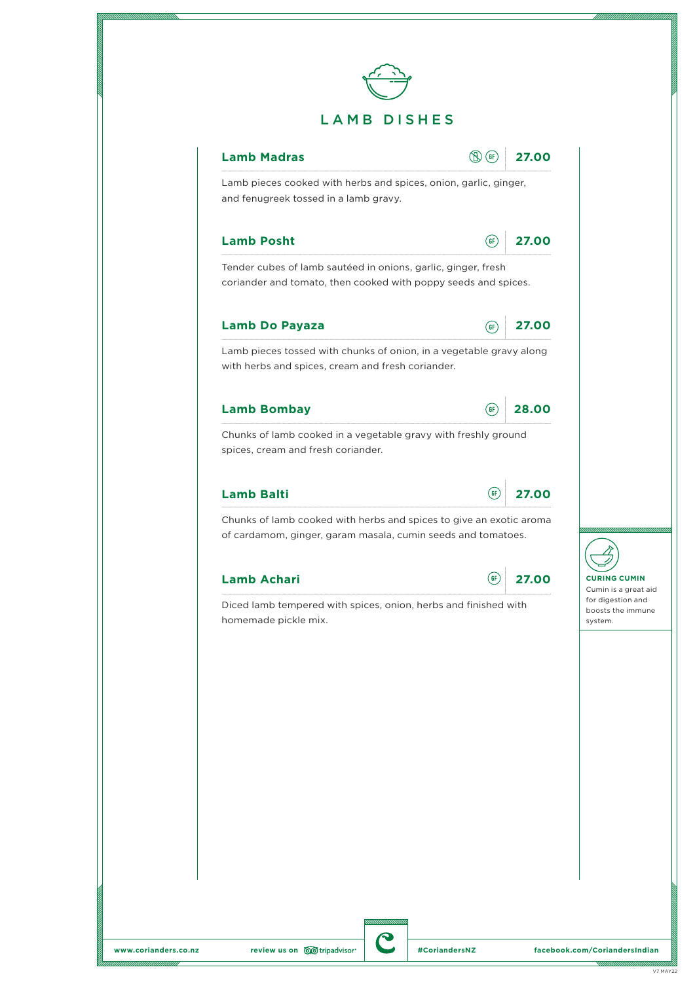



Lamb pieces cooked with herbs and spices, onion, garlic, ginger, and fenugreek tossed in a lamb gravy.

# **Lamb Posht 27.00**

Tender cubes of lamb sautéed in onions, garlic, ginger, fresh coriander and tomato, then cooked with poppy seeds and spices.

# **Lamb Do Payaza 27.00**



Lamb pieces tossed with chunks of onion, in a vegetable gravy along with herbs and spices, cream and fresh coriander.

## **Lamb Bombay 28.00**

| ï۴ | 28.00 |
|----|-------|
|    |       |

Chunks of lamb cooked in a vegetable gravy with freshly ground spices, cream and fresh coriander.

# **Lamb Balti 27.00**



Chunks of lamb cooked with herbs and spices to give an exotic aroma of cardamom, ginger, garam masala, cumin seeds and tomatoes.

# **Lamb Achari 27.00**



**CURING CUMIN** Cumin is a great aid for digestion and boosts the immune system.

Diced lamb tempered with spices, onion, herbs and finished with homemade pickle mix.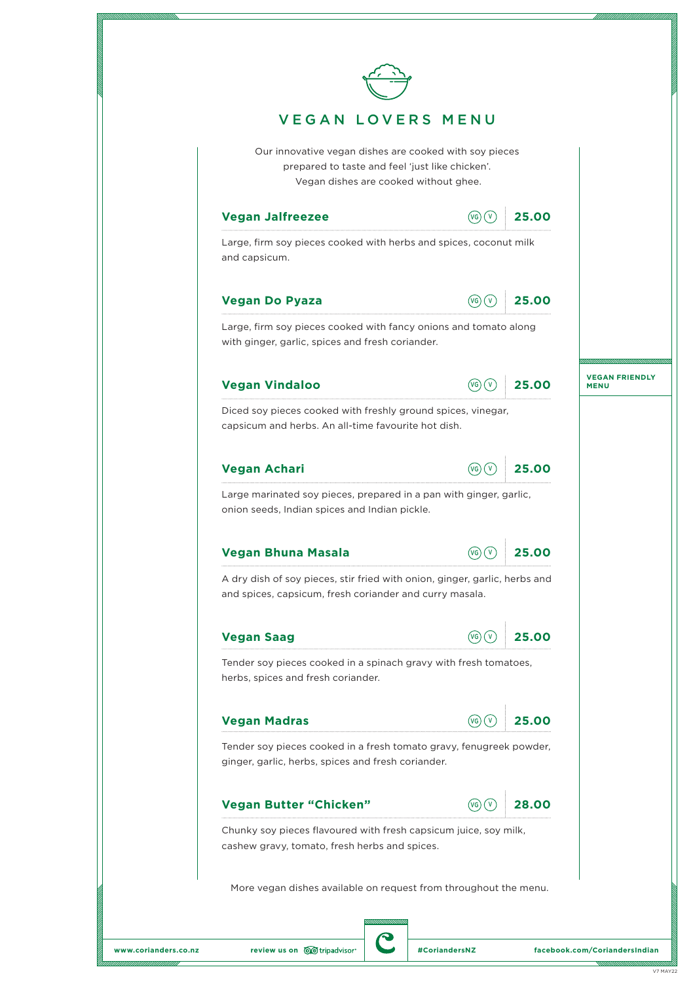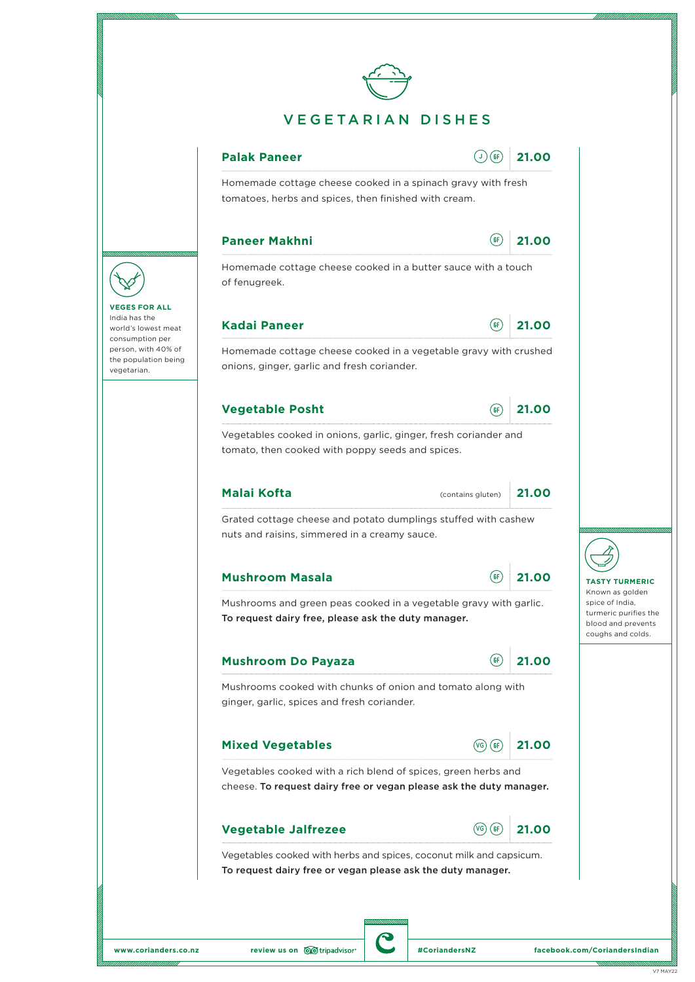

# VEGETARIAN DISHES



Homemade cottage cheese cooked in a spinach gravy with fresh tomatoes, herbs and spices, then finished with cream.

# **Paneer Makhni 21.00**

|  | -2<br>i.<br>٠ |
|--|---------------|
|  |               |

Homemade cottage cheese cooked in a butter sauce with a touch of fenugreek.

# **Kadai Paneer 21.00**



Homemade cottage cheese cooked in a vegetable gravy with crushed onions, ginger, garlic and fresh coriander.

# **Vegetable Posht 21.00**

Vegetables cooked in onions, garlic, ginger, fresh coriander and tomato, then cooked with poppy seeds and spices.

#### **Malai Kofta 21.00** (contains gluten)

Grated cottage cheese and potato dumplings stuffed with cashew nuts and raisins, simmered in a creamy sauce.

| <b>Mushroom Masala</b> | GF | 21.00 |
|------------------------|----|-------|
|                        |    |       |

Mushrooms and green peas cooked in a vegetable gravy with garlic. To request dairy free, please ask the duty manager.

## **Mushroom Do Payaza 21.00**



Mushrooms cooked with chunks of onion and tomato along with ginger, garlic, spices and fresh coriander.

# **Mixed Vegetables 21.00**



Vegetables cooked with a rich blend of spices, green herbs and cheese. To request dairy free or vegan please ask the duty manager.

## **Vegetable Jalfrezee**  $\sqrt{G(G)}$  **21.00**



Vegetables cooked with herbs and spices, coconut milk and capsicum. To request dairy free or vegan please ask the duty manager.

**VEGES FOR ALL** India has the world's lowest meat consumption per person, with 40% of the population being vegetarian.

**TASTY TURMERIC** Known as golden spice of India, turmeric purifies the blood and prevents coughs and colds.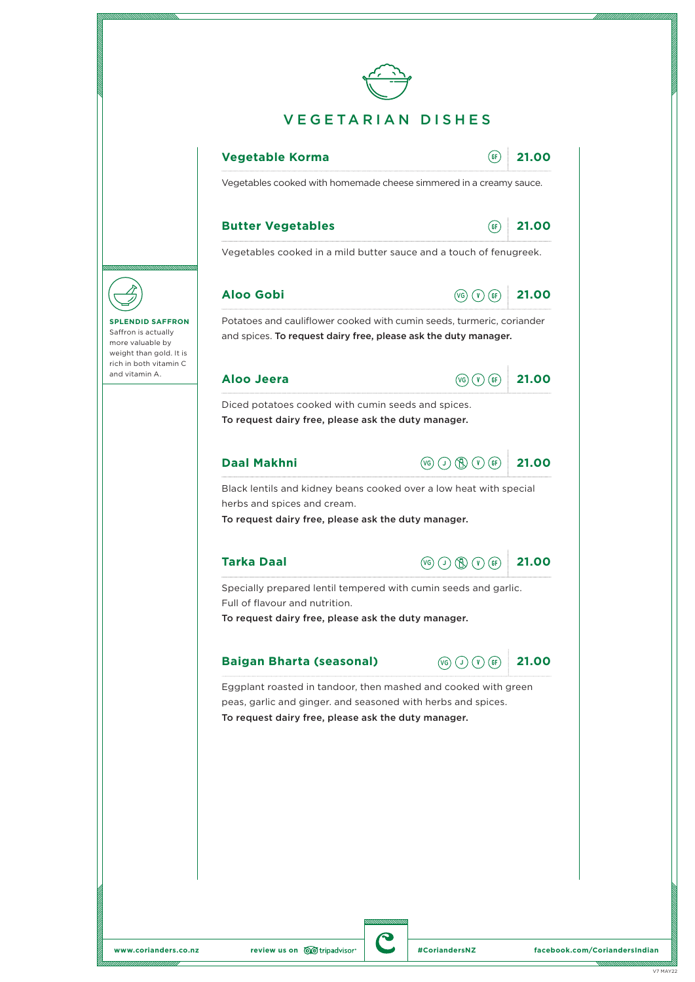

**SPLENDID SAFFRON** Saffron is actually more valuable by weight than gold. It is rich in both vitamin C and vitamin A.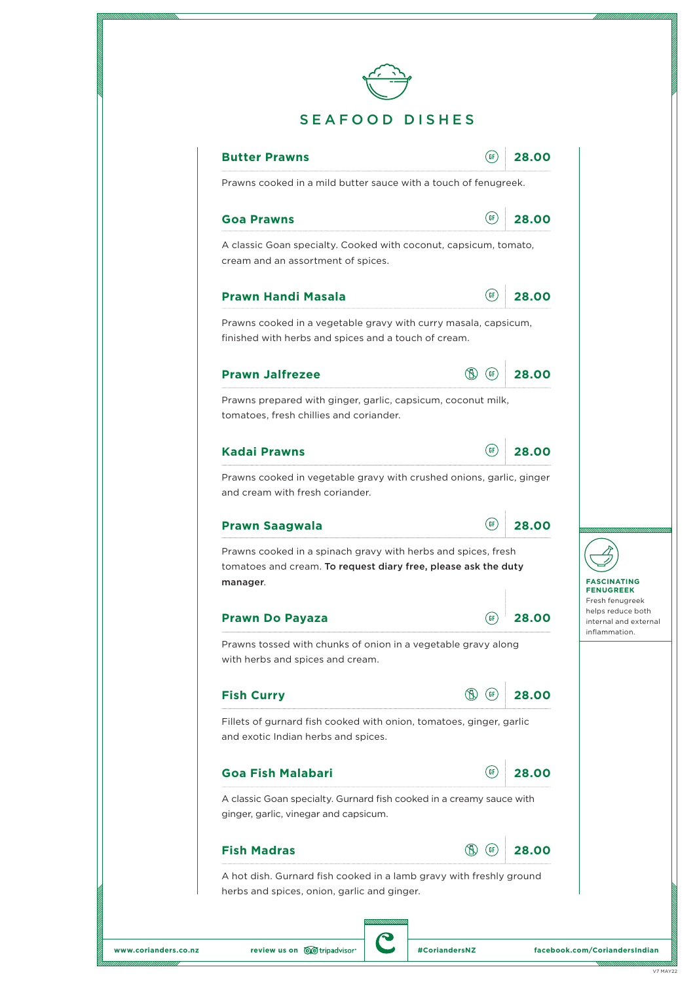

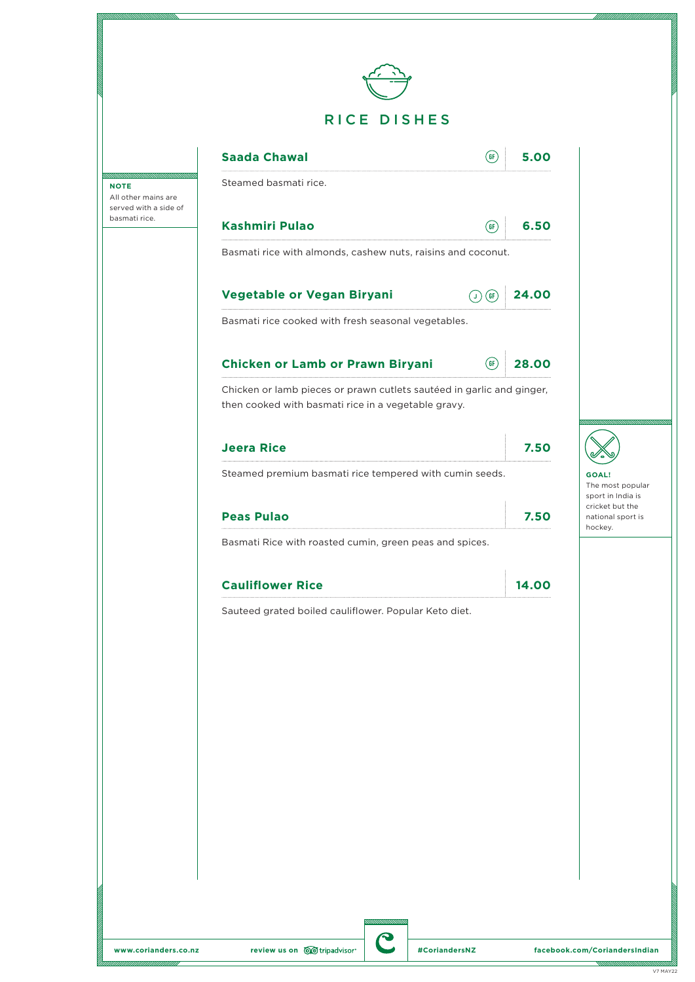

|                                                        | <b>Saada Chawal</b><br>(6F)                                                                                                  | 5.00  |                                                       |
|--------------------------------------------------------|------------------------------------------------------------------------------------------------------------------------------|-------|-------------------------------------------------------|
| Έ<br>ther mains are<br>ed with a side of<br>nati rice. | Steamed basmati rice.                                                                                                        |       |                                                       |
|                                                        | <b>Kashmiri Pulao</b><br>(GF)                                                                                                | 6.50  |                                                       |
|                                                        | Basmati rice with almonds, cashew nuts, raisins and coconut.                                                                 |       |                                                       |
|                                                        | Vegetable or Vegan Biryani<br>(6F)<br>U)                                                                                     | 24.00 |                                                       |
|                                                        | Basmati rice cooked with fresh seasonal vegetables.                                                                          |       |                                                       |
|                                                        | Chicken or Lamb or Prawn Biryani<br>$($ GF $\rangle$                                                                         | 28.00 |                                                       |
|                                                        | Chicken or lamb pieces or prawn cutlets sautéed in garlic and ginger,<br>then cooked with basmati rice in a vegetable gravy. |       |                                                       |
|                                                        | <b>Jeera Rice</b>                                                                                                            | 7.50  |                                                       |
|                                                        | Steamed premium basmati rice tempered with cumin seeds.                                                                      |       | <b>GOAL!</b><br>The most popular<br>sport in India is |
|                                                        | <b>Peas Pulao</b>                                                                                                            | 7.50  | cricket but the<br>national sport is<br>hockey.       |
|                                                        | Basmati Rice with roasted cumin, green peas and spices.                                                                      |       |                                                       |
|                                                        | <b>Cauliflower Rice</b>                                                                                                      | 14.00 |                                                       |
|                                                        | Sauteed grated boiled cauliflower. Popular Keto diet.                                                                        |       |                                                       |
|                                                        |                                                                                                                              |       |                                                       |
|                                                        |                                                                                                                              |       |                                                       |
|                                                        |                                                                                                                              |       |                                                       |
|                                                        |                                                                                                                              |       |                                                       |
|                                                        |                                                                                                                              |       |                                                       |
|                                                        |                                                                                                                              |       |                                                       |
|                                                        |                                                                                                                              |       |                                                       |
|                                                        |                                                                                                                              |       |                                                       |
|                                                        |                                                                                                                              |       |                                                       |

**NOTE** All  $\circ$ serve basn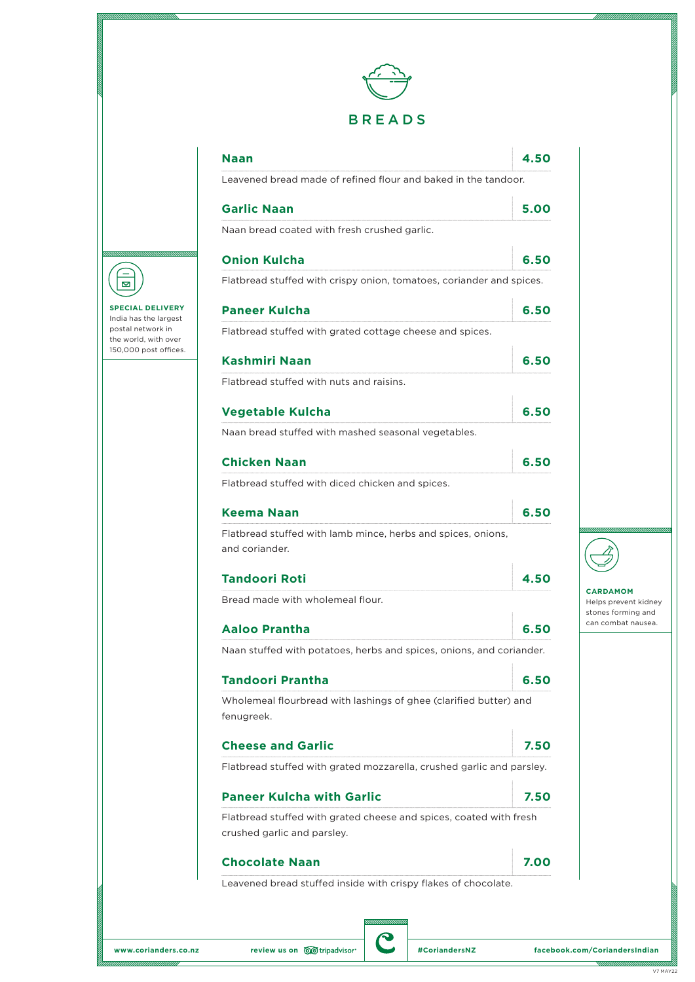

| Naan<br>Leavened bread made of refined flour and baked in the tandoor.          |      |
|---------------------------------------------------------------------------------|------|
|                                                                                 |      |
| <b>Garlic Naan</b>                                                              | 5.00 |
| Naan bread coated with fresh crushed garlic.                                    |      |
| <b>Onion Kulcha</b>                                                             | 6.50 |
| Flatbread stuffed with crispy onion, tomatoes, coriander and spices.            |      |
| <b>Paneer Kulcha</b>                                                            | 6.50 |
| Flatbread stuffed with grated cottage cheese and spices.                        |      |
| <b>Kashmiri Naan</b>                                                            | 6.50 |
| Flatbread stuffed with nuts and raisins.                                        |      |
| <b>Vegetable Kulcha</b>                                                         | 6.50 |
| Naan bread stuffed with mashed seasonal vegetables.                             |      |
| <b>Chicken Naan</b>                                                             | 6.50 |
| Flatbread stuffed with diced chicken and spices.                                |      |
| Keema Naan                                                                      | 6.50 |
| Flatbread stuffed with lamb mince, herbs and spices, onions,<br>and coriander.  |      |
| Tandoori Roti                                                                   | 4.50 |
| Bread made with wholemeal flour.                                                |      |
| Aaloo Prantha                                                                   | 6.50 |
| Naan stuffed with potatoes, herbs and spices, onions, and coriander.            |      |
| <b>Tandoori Prantha</b>                                                         | 6.50 |
| Wholemeal flourbread with lashings of ghee (clarified butter) and<br>fenugreek. |      |
| <b>Cheese and Garlic</b>                                                        | 7.50 |
| Flatbread stuffed with grated mozzarella, crushed garlic and parsley.           |      |
| <b>Paneer Kulcha with Garlic</b>                                                | 7.50 |
| Flatbread stuffed with grated cheese and spices, coated with fresh              |      |
| crushed garlic and parsley.                                                     |      |
| <b>Chocolate Naan</b>                                                           | 7.00 |
| Leavened bread stuffed inside with crispy flakes of chocolate.                  |      |



**SPECIAL DELIVERY** India has the largest postal network in the world, with over 150,000 post offices.

**CARDAMOM** Helps prevent kidney stones forming and can combat nausea.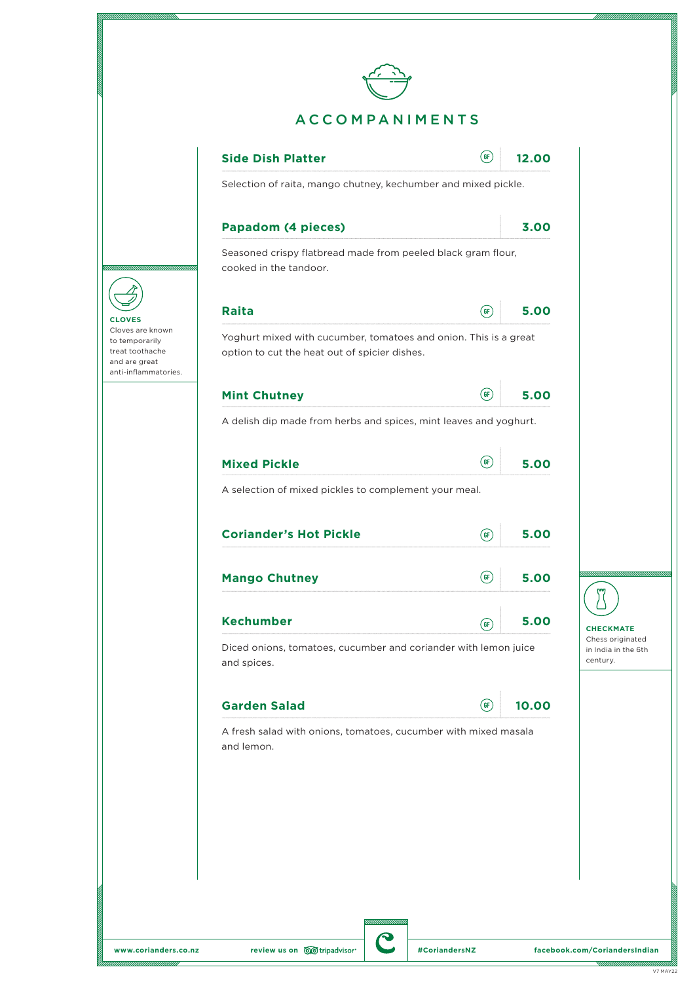

**CLOVES** Cloves are known to temporarily treat toothache and are great anti-inflammatories.